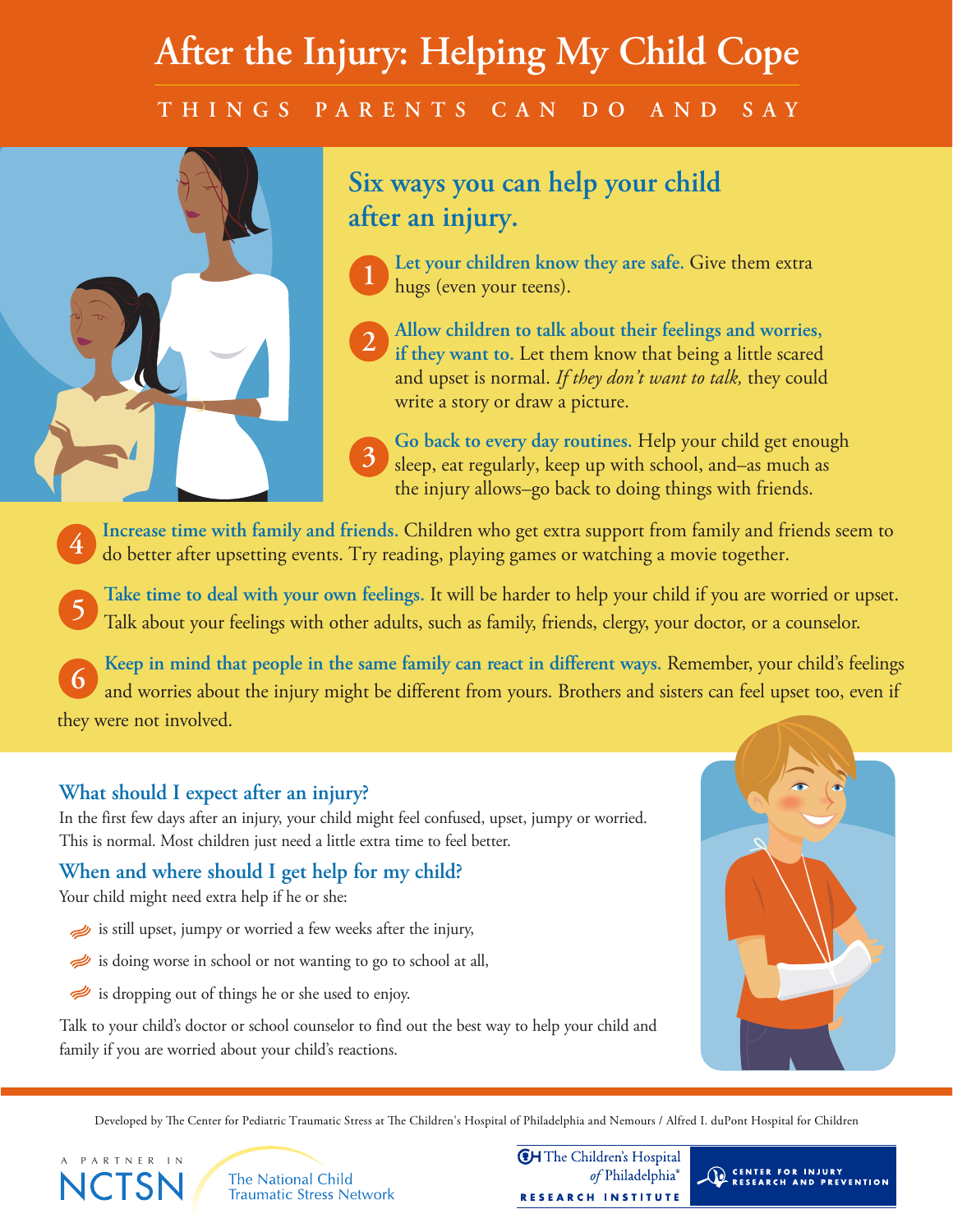# **After the Injury: Helping My Child Cope T H I N G S P A R E N T S C A N D O A N D S A Y**



### **Six ways you can help your child after an injury.**

- **Let your children know they are safe.** Give them extra hugs (even your teens). **1**
- **Allow children to talk about their feelings and worries, if they want to.** Let them know that being a little scared and upset is normal. *If they don't want to talk,* they could write a story or draw a picture. **2**
- **Go back to every day routines.** Help your child get enough sleep, eat regularly, keep up with school, and–as much as the injury allows–go back to doing things with friends. **3**
- **Increase time with family and friends.** Children who get extra support from family and friends seem to do better after upsetting events. Try reading, playing games or watching a movie together. **4**
- **Take time to deal with your own feelings.** It will be harder to help your child if you are worried or upset. Talk about your feelings with other adults, such as family, friends, clergy, your doctor, or a counselor. **5**
- **Keep in mind that people in the same family can react in different ways.** Remember, your child's feelings and worries about the injury might be different from yours. Brothers and sisters can feel upset too, even if they were not involved. **6**

#### **What should I expect after an injury?**

In the first few days after an injury, your child might feel confused, upset, jumpy or worried. This is normal. Most children just need a little extra time to feel better.

#### **When and where should I get help for my child?**

Your child might need extra help if he or she:

A PARTNER IN

- is still upset, jumpy or worried a few weeks after the injury,
- is doing worse in school or not wanting to go to school at all,
- is dropping out of things he or she used to enjoy.

Talk to your child's doctor or school counselor to find out the best way to help your child and family if you are worried about your child's reactions.



Developed by The Center for Pediatric Traumatic Stress at The Children's Hospital of Philadelphia and Nemours / Alfred I. duPont Hospital for Children

**The National Child Traumatic Stress Network**  **CH** The Children's Hospital of Philadelphia® RESEARCH INSTITUTE